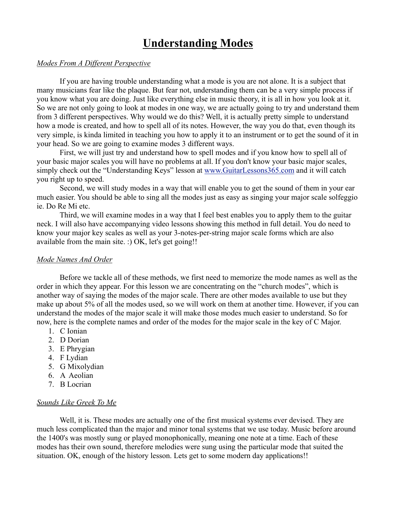# **Understanding Modes**

# *Modes From A Different Perspective*

If you are having trouble understanding what a mode is you are not alone. It is a subject that many musicians fear like the plaque. But fear not, understanding them can be a very simple process if you know what you are doing. Just like everything else in music theory, it is all in how you look at it. So we are not only going to look at modes in one way, we are actually going to try and understand them from 3 different perspectives. Why would we do this? Well, it is actually pretty simple to understand how a mode is created, and how to spell all of its notes. However, the way you do that, even though its very simple, is kinda limited in teaching you how to apply it to an instrument or to get the sound of it in your head. So we are going to examine modes 3 different ways.

First, we will just try and understand how to spell modes and if you know how to spell all of your basic major scales you will have no problems at all. If you don't know your basic major scales, simply check out the "Understanding Keys" lesson at www.GuitarLessons365.com and it will catch you right up to speed.

Second, we will study modes in a way that will enable you to get the sound of them in your ear much easier. You should be able to sing all the modes just as easy as singing your major scale solfeggio ie. Do Re Mi etc.

Third, we will examine modes in a way that I feel best enables you to apply them to the guitar neck. I will also have accompanying video lessons showing this method in full detail. You do need to know your major key scales as well as your 3-notes-per-string major scale forms which are also available from the main site. :) OK, let's get going!!

## *Mode Names And Order*

Before we tackle all of these methods, we first need to memorize the mode names as well as the order in which they appear. For this lesson we are concentrating on the "church modes", which is another way of saying the modes of the major scale. There are other modes available to use but they make up about 5% of all the modes used, so we will work on them at another time. However, if you can understand the modes of the major scale it will make those modes much easier to understand. So for now, here is the complete names and order of the modes for the major scale in the key of C Major.

- 1. C Ionian
- 2. D Dorian
- 3. E Phrygian
- 4. F Lydian
- 5. G Mixolydian
- 6. A Aeolian
- 7. B Locrian

# *Sounds Like Greek To Me*

Well, it is. These modes are actually one of the first musical systems ever devised. They are much less complicated than the major and minor tonal systems that we use today. Music before around the 1400's was mostly sung or played monophonically, meaning one note at a time. Each of these modes has their own sound, therefore melodies were sung using the particular mode that suited the situation. OK, enough of the history lesson. Lets get to some modern day applications!!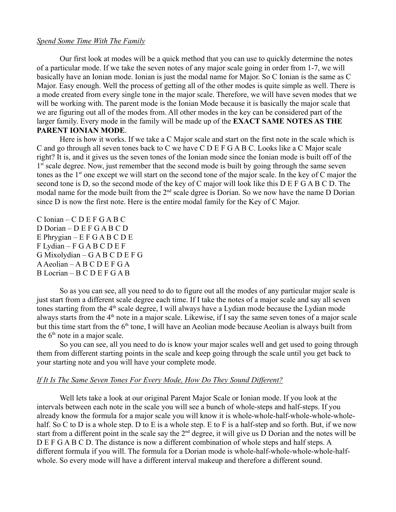#### *Spend Some Time With The Family*

Our first look at modes will be a quick method that you can use to quickly determine the notes of a particular mode. If we take the seven notes of any major scale going in order from 1-7, we will basically have an Ionian mode. Ionian is just the modal name for Major. So C Ionian is the same as C Major. Easy enough. Well the process of getting all of the other modes is quite simple as well. There is a mode created from every single tone in the major scale. Therefore, we will have seven modes that we will be working with. The parent mode is the Ionian Mode because it is basically the major scale that we are figuring out all of the modes from. All other modes in the key can be considered part of the larger family. Every mode in the family will be made up of the **EXACT SAME NOTES AS THE PARENT IONIAN MODE**.

Here is how it works. If we take a C Major scale and start on the first note in the scale which is C and go through all seven tones back to C we have C D E F G A B C. Looks like a C Major scale right? It is, and it gives us the seven tones of the Ionian mode since the Ionian mode is built off of the 1<sup>st</sup> scale degree. Now, just remember that the second mode is built by going through the same seven tones as the  $1<sup>st</sup>$  one except we will start on the second tone of the major scale. In the key of C major the second tone is D, so the second mode of the key of C major will look like this D E F G A B C D. The modal name for the mode built from the  $2<sup>nd</sup>$  scale dgree is Dorian. So we now have the name D Dorian since D is now the first note. Here is the entire modal family for the Key of C Major.

 $C$  Ionian –  $C$  D E F G A B C D Dorian – D E F G A B C D E Phrygian – E F G A B C D E F Lydian – F G A B C D E F G Mixolydian – G A B C D E F G  $A Aeolian - A B C D E F G A$ B Locrian – B C D E F G A B

So as you can see, all you need to do to figure out all the modes of any particular major scale is just start from a different scale degree each time. If I take the notes of a major scale and say all seven tones starting from the  $4<sup>th</sup>$  scale degree, I will always have a Lydian mode because the Lydian mode always starts from the 4<sup>th</sup> note in a major scale. Likewise, if I say the same seven tones of a major scale but this time start from the  $6<sup>th</sup>$  tone, I will have an Aeolian mode because Aeolian is always built from the  $6<sup>th</sup>$  note in a major scale.

So you can see, all you need to do is know your major scales well and get used to going through them from different starting points in the scale and keep going through the scale until you get back to your starting note and you will have your complete mode.

## *If It Is The Same Seven Tones For Every Mode, How Do They Sound Different?*

Well lets take a look at our original Parent Major Scale or Ionian mode. If you look at the intervals between each note in the scale you will see a bunch of whole-steps and half-steps. If you already know the formula for a major scale you will know it is whole-whole-half-whole-whole-wholehalf. So C to D is a whole step. D to E is a whole step. E to F is a half-step and so forth. But, if we now start from a different point in the scale say the  $2<sup>nd</sup>$  degree, it will give us D Dorian and the notes will be D E F G A B C D. The distance is now a different combination of whole steps and half steps. A different formula if you will. The formula for a Dorian mode is whole-half-whole-whole-whole-halfwhole. So every mode will have a different interval makeup and therefore a different sound.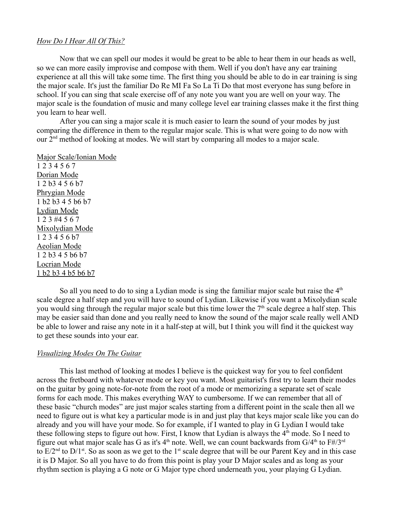#### *How Do I Hear All Of This?*

Now that we can spell our modes it would be great to be able to hear them in our heads as well, so we can more easily improvise and compose with them. Well if you don't have any ear training experience at all this will take some time. The first thing you should be able to do in ear training is sing the major scale. It's just the familiar Do Re MI Fa So La Ti Do that most everyone has sung before in school. If you can sing that scale exercise off of any note you want you are well on your way. The major scale is the foundation of music and many college level ear training classes make it the first thing you learn to hear well.

After you can sing a major scale it is much easier to learn the sound of your modes by just comparing the difference in them to the regular major scale. This is what were going to do now with our 2nd method of looking at modes. We will start by comparing all modes to a major scale.

Major Scale/Ionian Mode

1 2 3 4 5 6 7 Dorian Mode 1 2 b3 4 5 6 b7 Phrygian Mode 1 b2 b3 4 5 b6 b7 Lydian Mode 1 2 3 #4 5 6 7 Mixolydian Mode 1 2 3 4 5 6 b7 Aeolian Mode 1 2 b3 4 5 b6 b7 Locrian Mode 1 b2 b3 4 b5 b6 b7

So all you need to do to sing a Lydian mode is sing the familiar major scale but raise the  $4<sup>th</sup>$ scale degree a half step and you will have to sound of Lydian. Likewise if you want a Mixolydian scale you would sing through the regular major scale but this time lower the  $7<sup>th</sup>$  scale degree a half step. This may be easier said than done and you really need to know the sound of the major scale really well AND be able to lower and raise any note in it a half-step at will, but I think you will find it the quickest way to get these sounds into your ear.

## *Visualizing Modes On The Guitar*

This last method of looking at modes I believe is the quickest way for you to feel confident across the fretboard with whatever mode or key you want. Most guitarist's first try to learn their modes on the guitar by going note-for-note from the root of a mode or memorizing a separate set of scale forms for each mode. This makes everything WAY to cumbersome. If we can remember that all of these basic "church modes" are just major scales starting from a different point in the scale then all we need to figure out is what key a particular mode is in and just play that keys major scale like you can do already and you will have your mode. So for example, if I wanted to play in G Lydian I would take these following steps to figure out how. First, I know that Lydian is always the  $4<sup>th</sup>$  mode. So I need to figure out what major scale has G as it's  $4<sup>th</sup>$  note. Well, we can count backwards from  $G/4<sup>th</sup>$  to  $F#/3<sup>rd</sup>$ to  $E/2<sup>nd</sup>$  to  $D/1<sup>st</sup>$ . So as soon as we get to the 1<sup>st</sup> scale degree that will be our Parent Key and in this case it is D Major. So all you have to do from this point is play your D Major scales and as long as your rhythm section is playing a G note or G Major type chord underneath you, your playing G Lydian.